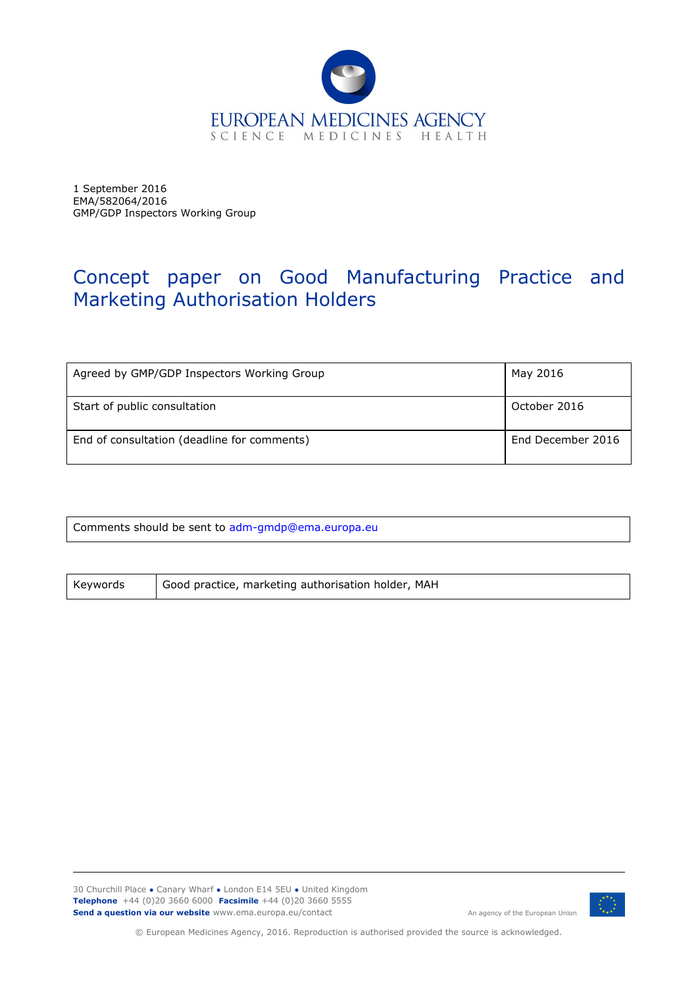

1 September 2016 EMA/582064/2016 GMP/GDP Inspectors Working Group

# Concept paper on Good Manufacturing Practice and Marketing Authorisation Holders

| Agreed by GMP/GDP Inspectors Working Group  | May 2016          |
|---------------------------------------------|-------------------|
| Start of public consultation                | October 2016      |
| End of consultation (deadline for comments) | End December 2016 |

Comments should be sent to adm-gmdp@ema.europa.eu

Keywords | Good practice, marketing authorisation holder, MAH

30 Churchill Place **●** Canary Wharf **●** London E14 5EU **●** United Kingdom **Telephone** +44 (0)20 3660 6000 **Facsimile** +44 (0)20 3660 5555 **Send a question via our website** www.ema.europa.eu/contact



© European Medicines Agency, 2016. Reproduction is authorised provided the source is acknowledged.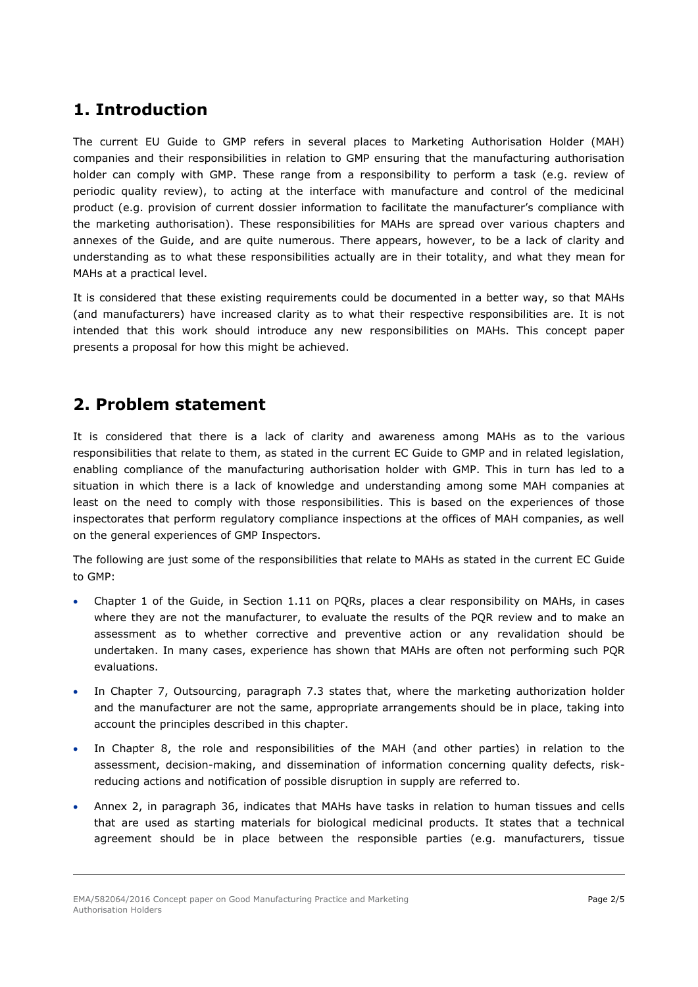# **1. Introduction**

The current EU Guide to GMP refers in several places to Marketing Authorisation Holder (MAH) companies and their responsibilities in relation to GMP ensuring that the manufacturing authorisation holder can comply with GMP. These range from a responsibility to perform a task (e.g. review of periodic quality review), to acting at the interface with manufacture and control of the medicinal product (e.g. provision of current dossier information to facilitate the manufacturer's compliance with the marketing authorisation). These responsibilities for MAHs are spread over various chapters and annexes of the Guide, and are quite numerous. There appears, however, to be a lack of clarity and understanding as to what these responsibilities actually are in their totality, and what they mean for MAHs at a practical level.

It is considered that these existing requirements could be documented in a better way, so that MAHs (and manufacturers) have increased clarity as to what their respective responsibilities are. It is not intended that this work should introduce any new responsibilities on MAHs. This concept paper presents a proposal for how this might be achieved.

# **2. Problem statement**

It is considered that there is a lack of clarity and awareness among MAHs as to the various responsibilities that relate to them, as stated in the current EC Guide to GMP and in related legislation, enabling compliance of the manufacturing authorisation holder with GMP. This in turn has led to a situation in which there is a lack of knowledge and understanding among some MAH companies at least on the need to comply with those responsibilities. This is based on the experiences of those inspectorates that perform regulatory compliance inspections at the offices of MAH companies, as well on the general experiences of GMP Inspectors.

The following are just some of the responsibilities that relate to MAHs as stated in the current EC Guide to GMP:

- Chapter 1 of the Guide, in Section 1.11 on PQRs, places a clear responsibility on MAHs, in cases where they are not the manufacturer, to evaluate the results of the PQR review and to make an assessment as to whether corrective and preventive action or any revalidation should be undertaken. In many cases, experience has shown that MAHs are often not performing such PQR evaluations.
- In Chapter 7, Outsourcing, paragraph 7.3 states that, where the marketing authorization holder and the manufacturer are not the same, appropriate arrangements should be in place, taking into account the principles described in this chapter.
- In Chapter 8, the role and responsibilities of the MAH (and other parties) in relation to the assessment, decision-making, and dissemination of information concerning quality defects, riskreducing actions and notification of possible disruption in supply are referred to.
- Annex 2, in paragraph 36, indicates that MAHs have tasks in relation to human tissues and cells that are used as starting materials for biological medicinal products. It states that a technical agreement should be in place between the responsible parties (e.g. manufacturers, tissue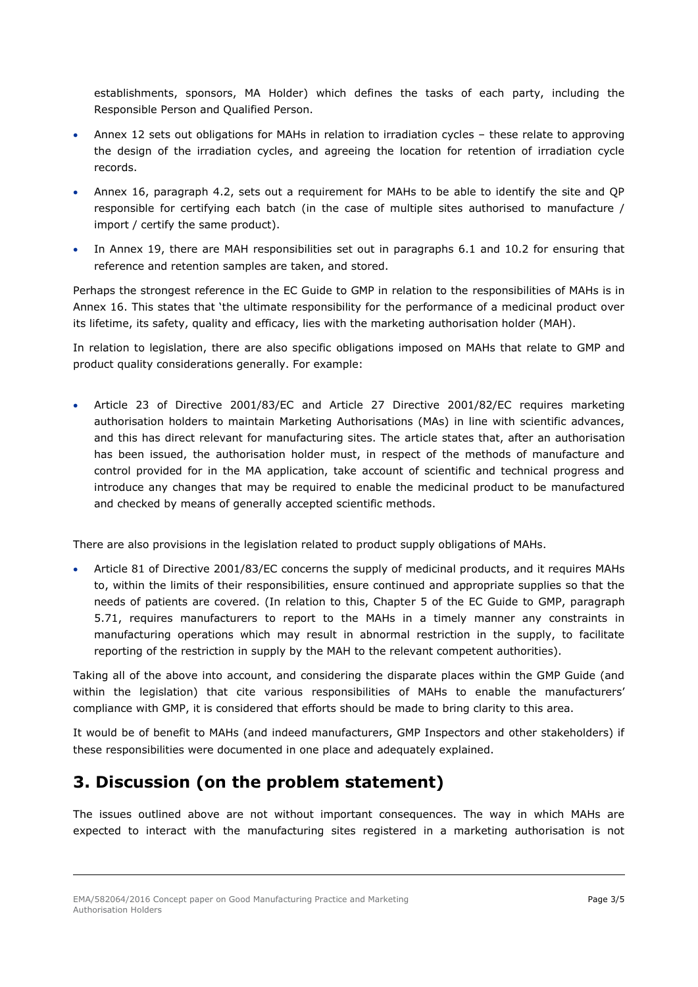establishments, sponsors, MA Holder) which defines the tasks of each party, including the Responsible Person and Qualified Person.

- Annex 12 sets out obligations for MAHs in relation to irradiation cycles these relate to approving the design of the irradiation cycles, and agreeing the location for retention of irradiation cycle records.
- Annex 16, paragraph 4.2, sets out a requirement for MAHs to be able to identify the site and QP responsible for certifying each batch (in the case of multiple sites authorised to manufacture / import / certify the same product).
- In Annex 19, there are MAH responsibilities set out in paragraphs 6.1 and 10.2 for ensuring that reference and retention samples are taken, and stored.

Perhaps the strongest reference in the EC Guide to GMP in relation to the responsibilities of MAHs is in Annex 16. This states that 'the ultimate responsibility for the performance of a medicinal product over its lifetime, its safety, quality and efficacy, lies with the marketing authorisation holder (MAH).

In relation to legislation, there are also specific obligations imposed on MAHs that relate to GMP and product quality considerations generally. For example:

 Article 23 of Directive 2001/83/EC and Article 27 Directive 2001/82/EC requires marketing authorisation holders to maintain Marketing Authorisations (MAs) in line with scientific advances, and this has direct relevant for manufacturing sites. The article states that, after an authorisation has been issued, the authorisation holder must, in respect of the methods of manufacture and control provided for in the MA application, take account of scientific and technical progress and introduce any changes that may be required to enable the medicinal product to be manufactured and checked by means of generally accepted scientific methods.

There are also provisions in the legislation related to product supply obligations of MAHs.

 Article 81 of Directive 2001/83/EC concerns the supply of medicinal products, and it requires MAHs to, within the limits of their responsibilities, ensure continued and appropriate supplies so that the needs of patients are covered. (In relation to this, Chapter 5 of the EC Guide to GMP, paragraph 5.71, requires manufacturers to report to the MAHs in a timely manner any constraints in manufacturing operations which may result in abnormal restriction in the supply, to facilitate reporting of the restriction in supply by the MAH to the relevant competent authorities).

Taking all of the above into account, and considering the disparate places within the GMP Guide (and within the legislation) that cite various responsibilities of MAHs to enable the manufacturers' compliance with GMP, it is considered that efforts should be made to bring clarity to this area.

It would be of benefit to MAHs (and indeed manufacturers, GMP Inspectors and other stakeholders) if these responsibilities were documented in one place and adequately explained.

# **3. Discussion (on the problem statement)**

The issues outlined above are not without important consequences. The way in which MAHs are expected to interact with the manufacturing sites registered in a marketing authorisation is not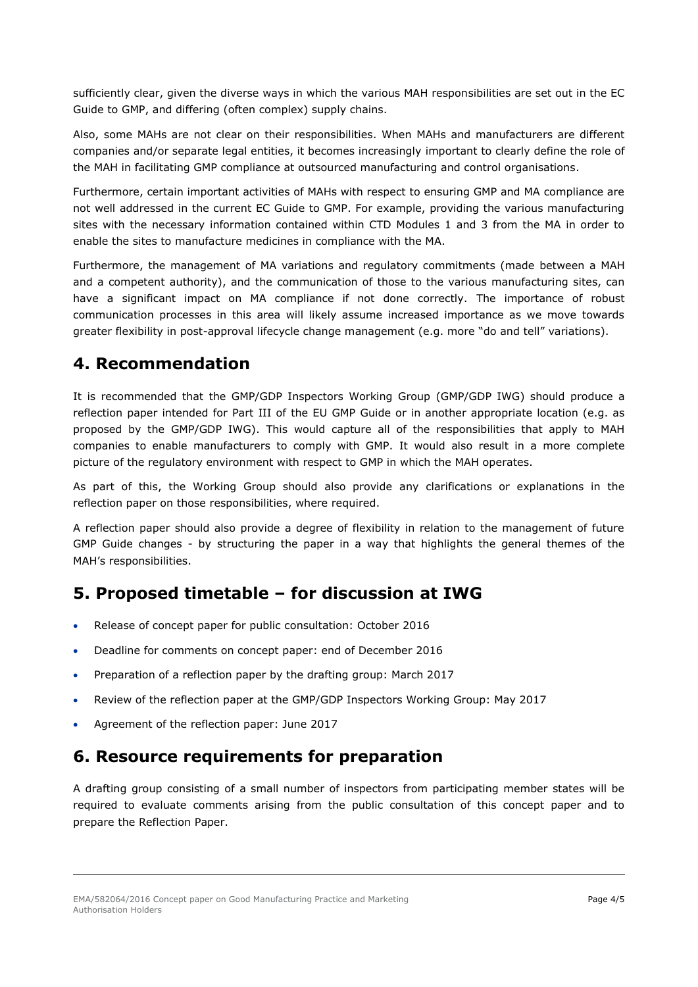sufficiently clear, given the diverse ways in which the various MAH responsibilities are set out in the EC Guide to GMP, and differing (often complex) supply chains.

Also, some MAHs are not clear on their responsibilities. When MAHs and manufacturers are different companies and/or separate legal entities, it becomes increasingly important to clearly define the role of the MAH in facilitating GMP compliance at outsourced manufacturing and control organisations.

Furthermore, certain important activities of MAHs with respect to ensuring GMP and MA compliance are not well addressed in the current EC Guide to GMP. For example, providing the various manufacturing sites with the necessary information contained within CTD Modules 1 and 3 from the MA in order to enable the sites to manufacture medicines in compliance with the MA.

Furthermore, the management of MA variations and regulatory commitments (made between a MAH and a competent authority), and the communication of those to the various manufacturing sites, can have a significant impact on MA compliance if not done correctly. The importance of robust communication processes in this area will likely assume increased importance as we move towards greater flexibility in post-approval lifecycle change management (e.g. more "do and tell" variations).

#### **4. Recommendation**

It is recommended that the GMP/GDP Inspectors Working Group (GMP/GDP IWG) should produce a reflection paper intended for Part III of the EU GMP Guide or in another appropriate location (e.g. as proposed by the GMP/GDP IWG). This would capture all of the responsibilities that apply to MAH companies to enable manufacturers to comply with GMP. It would also result in a more complete picture of the regulatory environment with respect to GMP in which the MAH operates.

As part of this, the Working Group should also provide any clarifications or explanations in the reflection paper on those responsibilities, where required.

A reflection paper should also provide a degree of flexibility in relation to the management of future GMP Guide changes - by structuring the paper in a way that highlights the general themes of the MAH's responsibilities.

#### **5. Proposed timetable – for discussion at IWG**

- Release of concept paper for public consultation: October 2016
- Deadline for comments on concept paper: end of December 2016
- Preparation of a reflection paper by the drafting group: March 2017
- Review of the reflection paper at the GMP/GDP Inspectors Working Group: May 2017
- Agreement of the reflection paper: June 2017

#### **6. Resource requirements for preparation**

A drafting group consisting of a small number of inspectors from participating member states will be required to evaluate comments arising from the public consultation of this concept paper and to prepare the Reflection Paper.